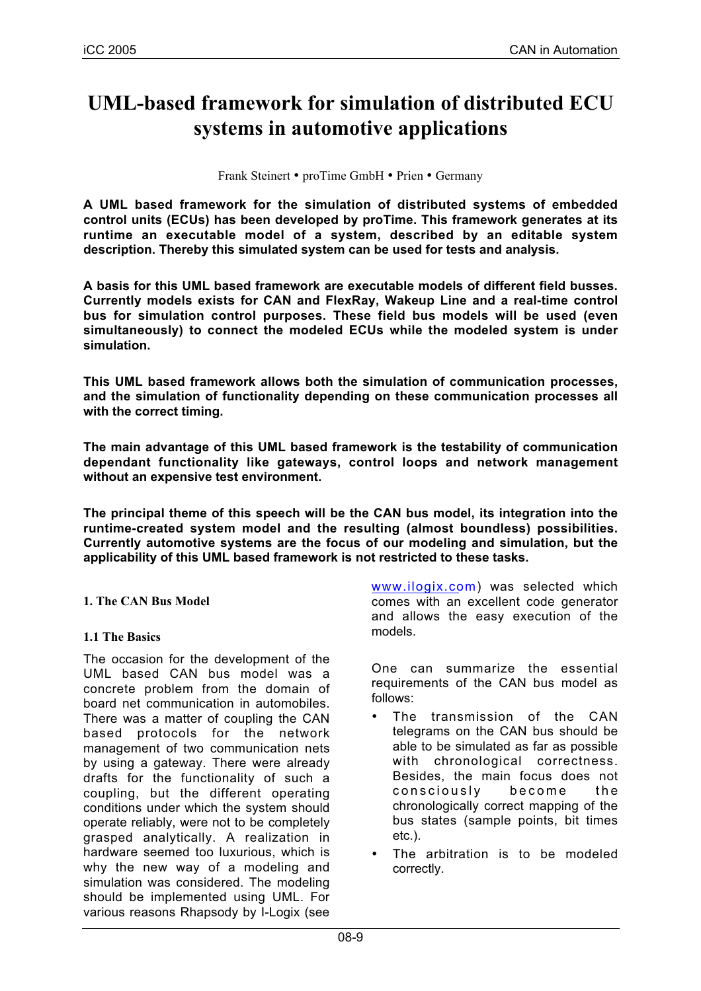# **UML-based framework for simulation of distributed ECU systems in automotive applications**

Frank Steinert • proTime GmbH • Prien • Germany

**A UML based framework for the simulation of distributed systems of embedded control units (ECUs) has been developed by proTime. This framework generates at its runtime an executable model of a system, described by an editable system description. Thereby this simulated system can be used for tests and analysis.**

**A basis for this UML based framework are executable models of different field busses. Currently models exists for CAN and FlexRay, Wakeup Line and a real-time control bus for simulation control purposes. These field bus models will be used (even simultaneously) to connect the modeled ECUs while the modeled system is under simulation.**

**This UML based framework allows both the simulation of communication processes, and the simulation of functionality depending on these communication processes all with the correct timing.**

**The main advantage of this UML based framework is the testability of communication dependant functionality like gateways, control loops and network management without an expensive test environment.**

**The principal theme of this speech will be the CAN bus model, its integration into the runtime-created system model and the resulting (almost boundless) possibilities. Currently automotive systems are the focus of our modeling and simulation, but the applicability of this UML based framework is not restricted to these tasks.**

## **1. The CAN Bus Model**

#### **1.1 The Basics**

The occasion for the development of the UML based CAN bus model was a concrete problem from the domain of board net communication in automobiles. There was a matter of coupling the CAN based protocols for the network management of two communication nets by using a gateway. There were already drafts for the functionality of such a coupling, but the different operating conditions under which the system should operate reliably, were not to be completely grasped analytically. A realization in hardware seemed too luxurious, which is why the new way of a modeling and simulation was considered. The modeling should be implemented using UML. For various reasons Rhapsody by I-Logix (see

www.ilogix.com) was selected which comes with an excellent code generator and allows the easy execution of the models.

One can summarize the essential requirements of the CAN bus model as follows:

- The transmission of the CAN telegrams on the CAN bus should be able to be simulated as far as possible with chronological correctness. Besides, the main focus does not consciously become the chronologically correct mapping of the bus states (sample points, bit times etc.).
- The arbitration is to be modeled correctly.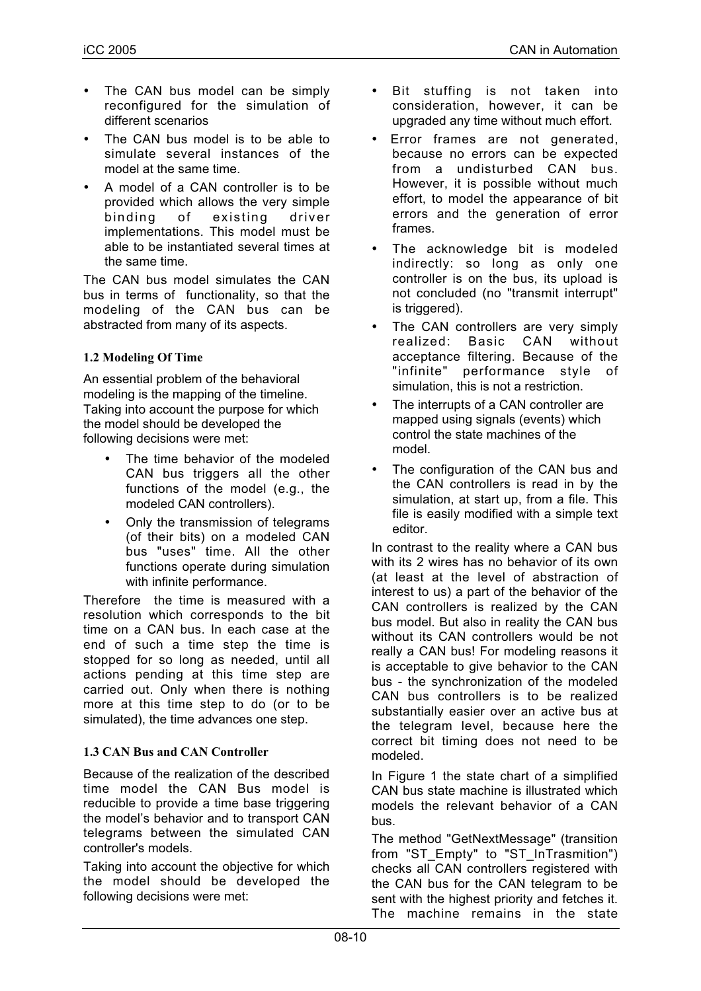- The CAN bus model can be simply reconfigured for the simulation of different scenarios
- The CAN bus model is to be able to simulate several instances of the model at the same time.
- A model of a CAN controller is to be provided which allows the very simple binding of existing driver implementations. This model must be able to be instantiated several times at the same time.

The CAN bus model simulates the CAN bus in terms of functionality, so that the modeling of the CAN bus can be abstracted from many of its aspects.

# **1.2 Modeling Of Time**

An essential problem of the behavioral modeling is the mapping of the timeline. Taking into account the purpose for which the model should be developed the following decisions were met:

- The time behavior of the modeled CAN bus triggers all the other functions of the model (e.g., the modeled CAN controllers).
- Only the transmission of telegrams (of their bits) on a modeled CAN bus "uses" time. All the other functions operate during simulation with infinite performance.

Therefore the time is measured with a resolution which corresponds to the bit time on a CAN bus. In each case at the end of such a time step the time is stopped for so long as needed, until all actions pending at this time step are carried out. Only when there is nothing more at this time step to do (or to be simulated), the time advances one step.

## **1.3 CAN Bus and CAN Controller**

Because of the realization of the described time model the CAN Bus model is reducible to provide a time base triggering the model's behavior and to transport CAN telegrams between the simulated CAN controller's models.

Taking into account the objective for which the model should be developed the following decisions were met:

- Bit stuffing is not taken into consideration, however, it can be upgraded any time without much effort.
- Error frames are not generated, because no errors can be expected from a undisturbed CAN bus. However, it is possible without much effort, to model the appearance of bit errors and the generation of error frames.
- The acknowledge bit is modeled indirectly: so long as only one controller is on the bus, its upload is not concluded (no "transmit interrupt" is triggered).
- The CAN controllers are very simply realized: Basic CAN without acceptance filtering. Because of the "infinite" performance style of simulation, this is not a restriction.
- The interrupts of a CAN controller are mapped using signals (events) which control the state machines of the model.
- The configuration of the CAN bus and the CAN controllers is read in by the simulation, at start up, from a file. This file is easily modified with a simple text editor.

In contrast to the reality where a CAN bus with its 2 wires has no behavior of its own (at least at the level of abstraction of interest to us) a part of the behavior of the CAN controllers is realized by the CAN bus model. But also in reality the CAN bus without its CAN controllers would be not really a CAN bus! For modeling reasons it is acceptable to give behavior to the CAN bus - the synchronization of the modeled CAN bus controllers is to be realized substantially easier over an active bus at the telegram level, because here the correct bit timing does not need to be modeled.

In Figure 1 the state chart of a simplified CAN bus state machine is illustrated which models the relevant behavior of a CAN bus.

The method "GetNextMessage" (transition from "ST\_Empty" to "ST\_InTrasmition") checks all CAN controllers registered with the CAN bus for the CAN telegram to be sent with the highest priority and fetches it. The machine remains in the state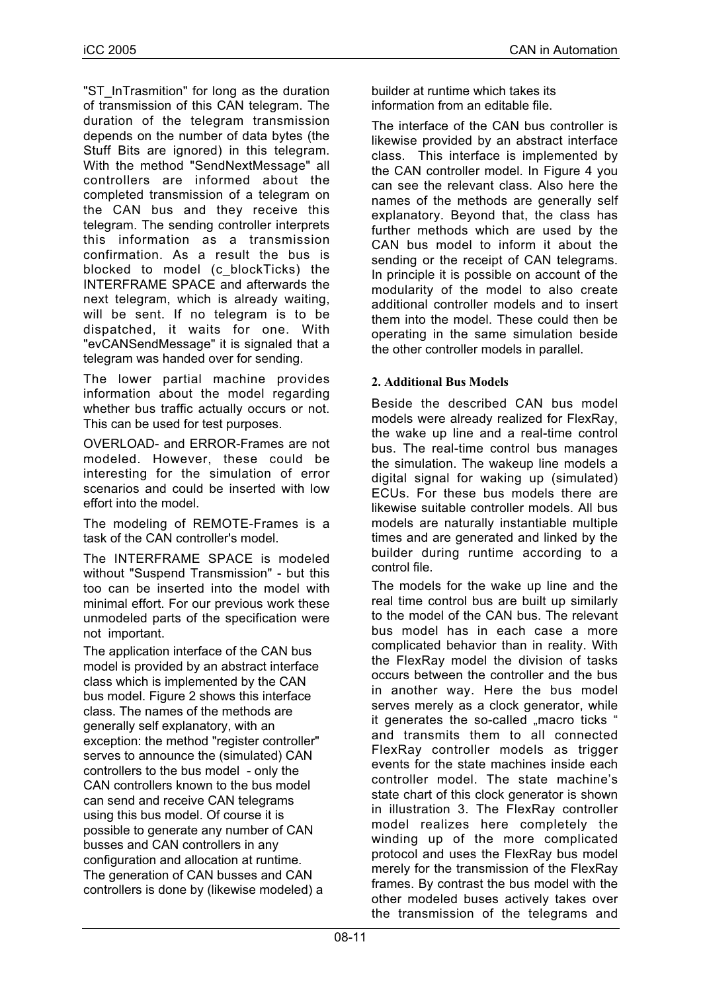"ST\_InTrasmition" for long as the duration of transmission of this CAN telegram. The duration of the telegram transmission depends on the number of data bytes (the Stuff Bits are ignored) in this telegram. With the method "SendNextMessage" all controllers are informed about the completed transmission of a telegram on the CAN bus and they receive this telegram. The sending controller interprets this information as a transmission confirmation. As a result the bus is blocked to model (c\_blockTicks) the INTERFRAME SPACE and afterwards the next telegram, which is already waiting, will be sent. If no telegram is to be dispatched, it waits for one. With "evCANSendMessage" it is signaled that a telegram was handed over for sending.

The lower partial machine provides information about the model regarding whether bus traffic actually occurs or not. This can be used for test purposes.

OVERLOAD- and ERROR-Frames are not modeled. However, these could be interesting for the simulation of error scenarios and could be inserted with low effort into the model.

The modeling of REMOTE-Frames is a task of the CAN controller's model.

The INTERFRAME SPACE is modeled without "Suspend Transmission" - but this too can be inserted into the model with minimal effort. For our previous work these unmodeled parts of the specification were not important.

The application interface of the CAN bus model is provided by an abstract interface class which is implemented by the CAN bus model. Figure 2 shows this interface class. The names of the methods are generally self explanatory, with an exception: the method "register controller" serves to announce the (simulated) CAN controllers to the bus model - only the CAN controllers known to the bus model can send and receive CAN telegrams using this bus model. Of course it is possible to generate any number of CAN busses and CAN controllers in any configuration and allocation at runtime. The generation of CAN busses and CAN controllers is done by (likewise modeled) a builder at runtime which takes its information from an editable file.

The interface of the CAN bus controller is likewise provided by an abstract interface class. This interface is implemented by the CAN controller model. In Figure 4 you can see the relevant class. Also here the names of the methods are generally self explanatory. Beyond that, the class has further methods which are used by the CAN bus model to inform it about the sending or the receipt of CAN telegrams. In principle it is possible on account of the modularity of the model to also create additional controller models and to insert them into the model. These could then be operating in the same simulation beside the other controller models in parallel.

#### **2. Additional Bus Models**

Beside the described CAN bus model models were already realized for FlexRay, the wake up line and a real-time control bus. The real-time control bus manages the simulation. The wakeup line models a digital signal for waking up (simulated) ECUs. For these bus models there are likewise suitable controller models. All bus models are naturally instantiable multiple times and are generated and linked by the builder during runtime according to a control file.

The models for the wake up line and the real time control bus are built up similarly to the model of the CAN bus. The relevant bus model has in each case a more complicated behavior than in reality. With the FlexRay model the division of tasks occurs between the controller and the bus in another way. Here the bus model serves merely as a clock generator, while it generates the so-called "macro ticks" and transmits them to all connected FlexRay controller models as trigger events for the state machines inside each controller model. The state machine's state chart of this clock generator is shown in illustration 3. The FlexRay controller model realizes here completely the winding up of the more complicated protocol and uses the FlexRay bus model merely for the transmission of the FlexRay frames. By contrast the bus model with the other modeled buses actively takes over the transmission of the telegrams and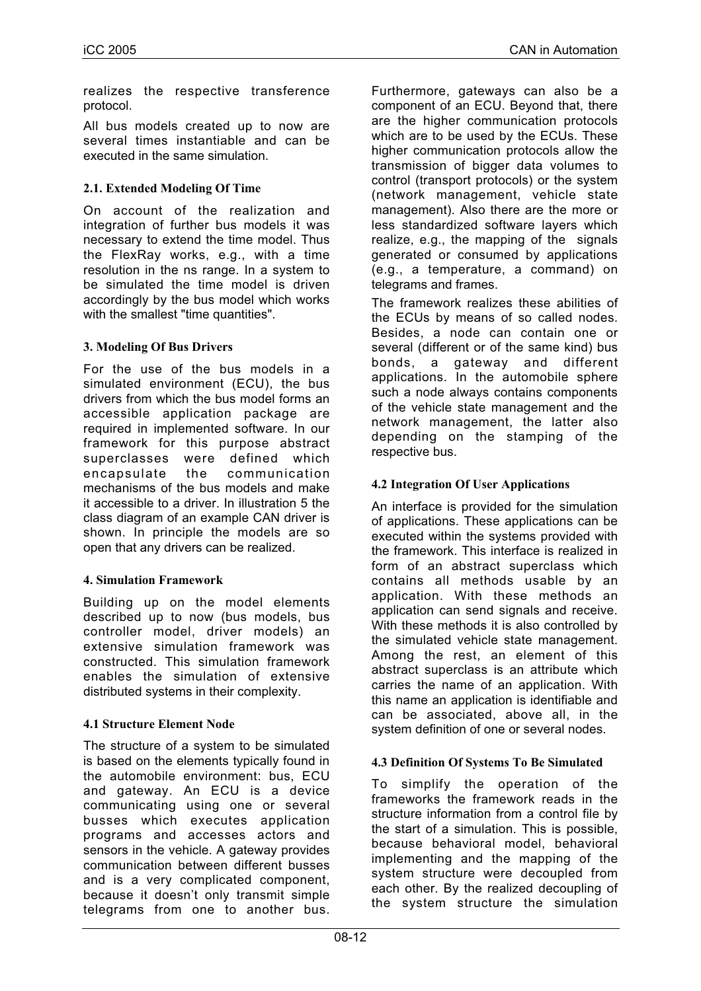realizes the respective transference protocol.

All bus models created up to now are several times instantiable and can be executed in the same simulation.

## **2.1. Extended Modeling Of Time**

On account of the realization and integration of further bus models it was necessary to extend the time model. Thus the FlexRay works, e.g., with a time resolution in the ns range. In a system to be simulated the time model is driven accordingly by the bus model which works with the smallest "time quantities".

#### **3. Modeling Of Bus Drivers**

For the use of the bus models in a simulated environment (ECU), the bus drivers from which the bus model forms an accessible application package are required in implemented software. In our framework for this purpose abstract superclasses were defined which encapsulate the communication mechanisms of the bus models and make it accessible to a driver. In illustration 5 the class diagram of an example CAN driver is shown. In principle the models are so open that any drivers can be realized.

#### **4. Simulation Framework**

Building up on the model elements described up to now (bus models, bus controller model, driver models) an extensive simulation framework was constructed. This simulation framework enables the simulation of extensive distributed systems in their complexity.

## **4.1 Structure Element Node**

The structure of a system to be simulated is based on the elements typically found in the automobile environment: bus, ECU and gateway. An ECU is a device communicating using one or several busses which executes application programs and accesses actors and sensors in the vehicle. A gateway provides communication between different busses and is a very complicated component, because it doesn't only transmit simple telegrams from one to another bus.

Furthermore, gateways can also be a component of an ECU. Beyond that, there are the higher communication protocols which are to be used by the ECUs. These higher communication protocols allow the transmission of bigger data volumes to control (transport protocols) or the system (network management, vehicle state management). Also there are the more or less standardized software layers which realize, e.g., the mapping of the signals generated or consumed by applications (e.g., a temperature, a command) on telegrams and frames.

The framework realizes these abilities of the ECUs by means of so called nodes. Besides, a node can contain one or several (different or of the same kind) bus bonds, a gateway and different applications. In the automobile sphere such a node always contains components of the vehicle state management and the network management, the latter also depending on the stamping of the respective bus.

#### **4.2 Integration Of User Applications**

An interface is provided for the simulation of applications. These applications can be executed within the systems provided with the framework. This interface is realized in form of an abstract superclass which contains all methods usable by an application. With these methods an application can send signals and receive. With these methods it is also controlled by the simulated vehicle state management. Among the rest, an element of this abstract superclass is an attribute which carries the name of an application. With this name an application is identifiable and can be associated, above all, in the system definition of one or several nodes.

#### **4.3 Definition Of Systems To Be Simulated**

To simplify the operation of the frameworks the framework reads in the structure information from a control file by the start of a simulation. This is possible, because behavioral model, behavioral implementing and the mapping of the system structure were decoupled from each other. By the realized decoupling of the system structure the simulation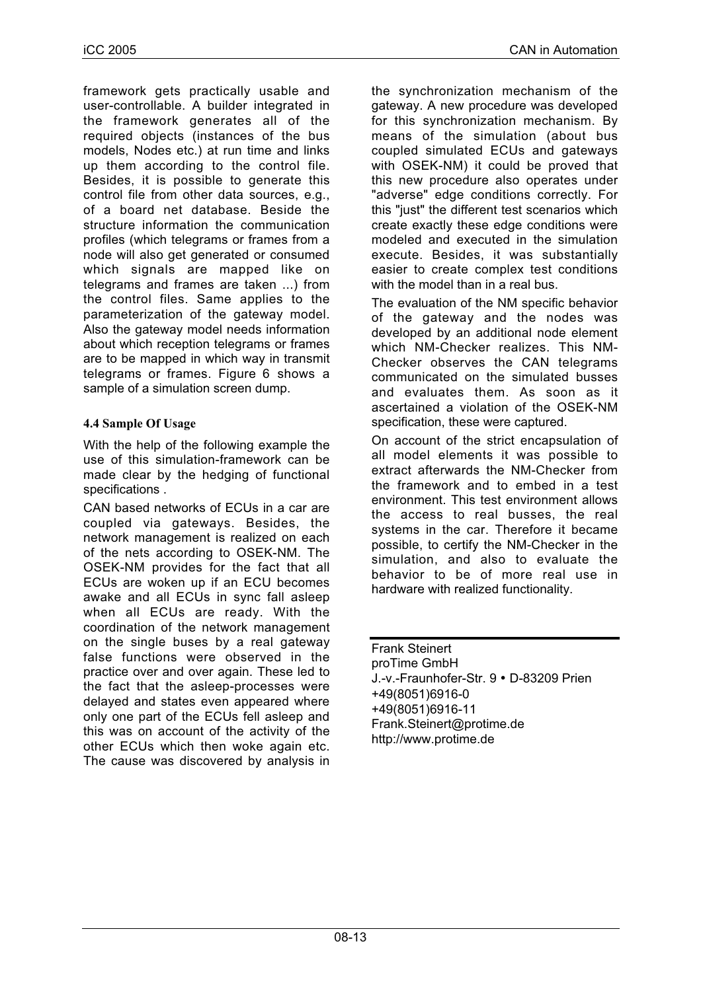framework gets practically usable and user-controllable. A builder integrated in the framework generates all of the required objects (instances of the bus models, Nodes etc.) at run time and links up them according to the control file. Besides, it is possible to generate this control file from other data sources, e.g., of a board net database. Beside the structure information the communication profiles (which telegrams or frames from a node will also get generated or consumed which signals are mapped like on telegrams and frames are taken ...) from the control files. Same applies to the parameterization of the gateway model. Also the gateway model needs information about which reception telegrams or frames are to be mapped in which way in transmit telegrams or frames. Figure 6 shows a sample of a simulation screen dump.

# **4.4 Sample Of Usage**

With the help of the following example the use of this simulation-framework can be made clear by the hedging of functional specifications .

CAN based networks of ECUs in a car are coupled via gateways. Besides, the network management is realized on each of the nets according to OSEK-NM. The OSEK-NM provides for the fact that all ECUs are woken up if an ECU becomes awake and all ECUs in sync fall asleep when all ECUs are ready. With the coordination of the network management on the single buses by a real gateway false functions were observed in the practice over and over again. These led to the fact that the asleep-processes were delayed and states even appeared where only one part of the ECUs fell asleep and this was on account of the activity of the other ECUs which then woke again etc. The cause was discovered by analysis in the synchronization mechanism of the gateway. A new procedure was developed for this synchronization mechanism. By means of the simulation (about bus coupled simulated ECUs and gateways with OSEK-NM) it could be proved that this new procedure also operates under "adverse" edge conditions correctly. For this "just" the different test scenarios which create exactly these edge conditions were modeled and executed in the simulation execute. Besides, it was substantially easier to create complex test conditions with the model than in a real bus.

The evaluation of the NM specific behavior of the gateway and the nodes was developed by an additional node element which NM-Checker realizes. This NM-Checker observes the CAN telegrams communicated on the simulated busses and evaluates them. As soon as it ascertained a violation of the OSEK-NM specification, these were captured.

On account of the strict encapsulation of all model elements it was possible to extract afterwards the NM-Checker from the framework and to embed in a test environment. This test environment allows the access to real busses, the real systems in the car. Therefore it became possible, to certify the NM-Checker in the simulation, and also to evaluate the behavior to be of more real use in hardware with realized functionality.

Frank Steinert proTime GmbH J.-v.-Fraunhofer-Str. 9 • D-83209 Prien +49(8051)6916-0 +49(8051)6916-11 Frank.Steinert@protime.de http://www.protime.de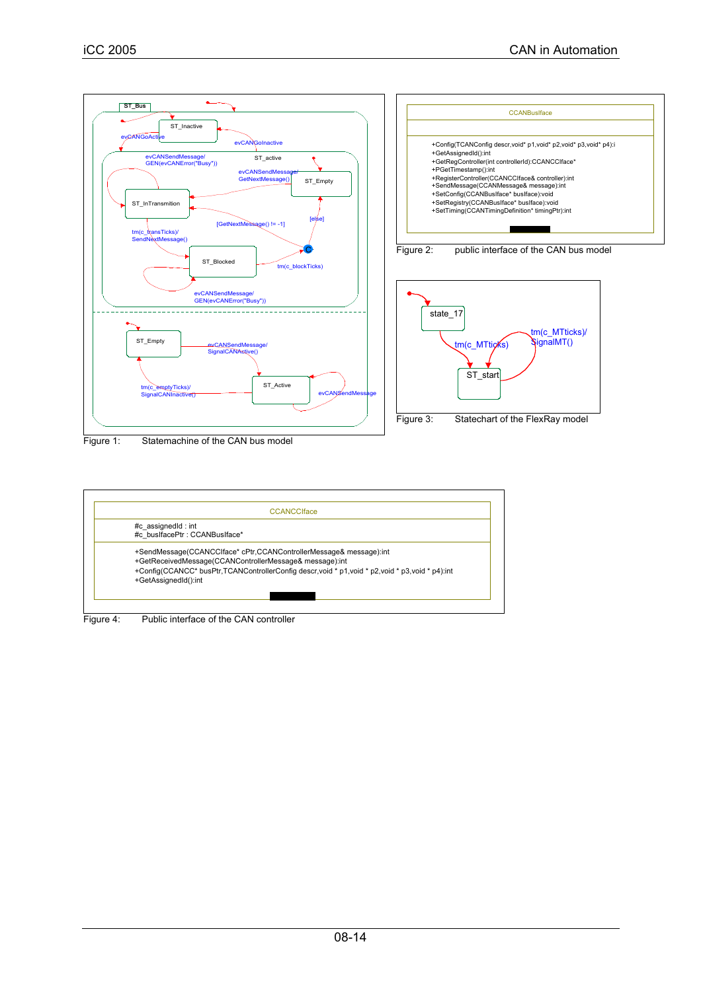

Figure 1: Statemachine of the CAN bus model



Figure 4: Public interface of the CAN controller